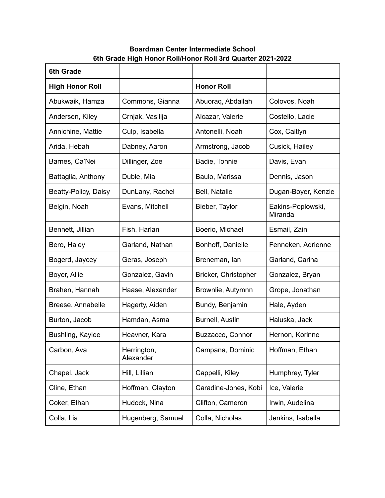## **Boardman Center Intermediate School 6th Grade High Honor Roll/Honor Roll 3rd Quarter 2021-2022**

| <b>6th Grade</b>       |                          |                      |                              |
|------------------------|--------------------------|----------------------|------------------------------|
| <b>High Honor Roll</b> |                          | <b>Honor Roll</b>    |                              |
| Abukwaik, Hamza        | Commons, Gianna          | Abuoraq, Abdallah    | Colovos, Noah                |
| Andersen, Kiley        | Crnjak, Vasilija         | Alcazar, Valerie     | Costello, Lacie              |
| Annichine, Mattie      | Culp, Isabella           | Antonelli, Noah      | Cox, Caitlyn                 |
| Arida, Hebah           | Dabney, Aaron            | Armstrong, Jacob     | Cusick, Hailey               |
| Barnes, Ca'Nei         | Dillinger, Zoe           | Badie, Tonnie        | Davis, Evan                  |
| Battaglia, Anthony     | Duble, Mia               | Baulo, Marissa       | Dennis, Jason                |
| Beatty-Policy, Daisy   | DunLany, Rachel          | Bell, Natalie        | Dugan-Boyer, Kenzie          |
| Belgin, Noah           | Evans, Mitchell          | Bieber, Taylor       | Eakins-Poplowski,<br>Miranda |
| Bennett, Jillian       | Fish, Harlan             | Boerio, Michael      | Esmail, Zain                 |
| Bero, Haley            | Garland, Nathan          | Bonhoff, Danielle    | Fenneken, Adrienne           |
| Bogerd, Jaycey         | Geras, Joseph            | Breneman, lan        | Garland, Carina              |
| Boyer, Allie           | Gonzalez, Gavin          | Bricker, Christopher | Gonzalez, Bryan              |
| Brahen, Hannah         | Haase, Alexander         | Brownlie, Autymnn    | Grope, Jonathan              |
| Breese, Annabelle      | Hagerty, Aiden           | Bundy, Benjamin      | Hale, Ayden                  |
| Burton, Jacob          | Hamdan, Asma             | Burnell, Austin      | Haluska, Jack                |
| Bushling, Kaylee       | Heavner, Kara            | Buzzacco, Connor     | Hernon, Korinne              |
| Carbon, Ava            | Herrington,<br>Alexander | Campana, Dominic     | Hoffman, Ethan               |
| Chapel, Jack           | Hill, Lillian            | Cappelli, Kiley      | Humphrey, Tyler              |
| Cline, Ethan           | Hoffman, Clayton         | Caradine-Jones, Kobi | Ice, Valerie                 |
| Coker, Ethan           | Hudock, Nina             | Clifton, Cameron     | Irwin, Audelina              |
| Colla, Lia             | Hugenberg, Samuel        | Colla, Nicholas      | Jenkins, Isabella            |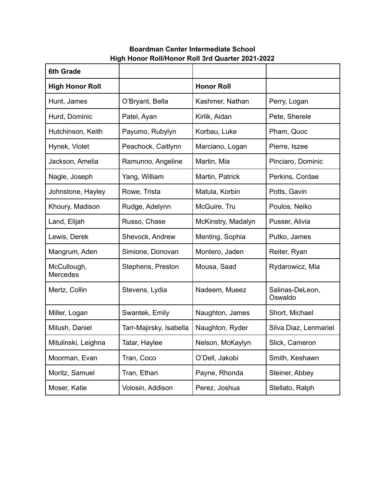## **Boardman Center Intermediate School High Honor Roll/Honor Roll 3rd Quarter 2021-2022**

| <b>6th Grade</b>        |                         |                    |                            |  |
|-------------------------|-------------------------|--------------------|----------------------------|--|
| <b>High Honor Roll</b>  |                         | <b>Honor Roll</b>  |                            |  |
| Hunt, James             | O'Bryant, Bella         | Kashmer, Nathan    | Perry, Logan               |  |
| Hurd, Dominic           | Patel, Ayan             | Kirlik, Aidan      | Pete, Sherele              |  |
| Hutchinson, Keith       | Payumo, Rubylyn         | Korbau, Luke       | Pham, Quoc                 |  |
| Hynek, Violet           | Peachock, Caitlynn      | Marciano, Logan    | Pierre, Iszee              |  |
| Jackson, Amelia         | Ramunno, Angeline       | Martin, Mia        | Pinciaro, Dominic          |  |
| Nagle, Joseph           | Yang, William           | Martin, Patrick    | Perkins, Cordae            |  |
| Johnstone, Hayley       | Rowe, Trista            | Matula, Korbin     | Potts, Gavin               |  |
| Khoury, Madison         | Rudge, Adelynn          | McGuire, Tru       | Poulos, Neiko              |  |
| Land, Elijah            | Russo, Chase            | McKinstry, Madalyn | Pusser, Alivia             |  |
| Lewis, Derek            | Shevock, Andrew         | Menting, Sophia    | Putko, James               |  |
| Mangrum, Aden           | Simione, Donovan        | Montero, Jaden     | Reiter, Ryan               |  |
| McCullough,<br>Mercedes | Stephens, Preston       | Mousa, Saad        | Rydarowicz, Mia            |  |
| Mertz, Collin           | Stevens, Lydia          | Nadeem, Mueez      | Salinas-DeLeon,<br>Oswaldo |  |
| Miller, Logan           | Swantek, Emily          | Naughton, James    | Short, Michael             |  |
| Milush, Daniel          | Tarr-Majirsky, Isabella | Naughton, Ryder    | Silva Diaz, Lenmariel      |  |
| Mitulinski, Leighna     | Tatar, Haylee           | Nelson, McKaylyn   | Slick, Cameron             |  |
| Moorman, Evan           | Tran, Coco              | O'Dell, Jakobi     | Smith, Keshawn             |  |
| Moritz, Samuel          | Tran, Ethan             | Payne, Rhonda      | Steiner, Abbey             |  |
| Moser, Katie            | Volosin, Addison        | Perez, Joshua      | Stellato, Ralph            |  |